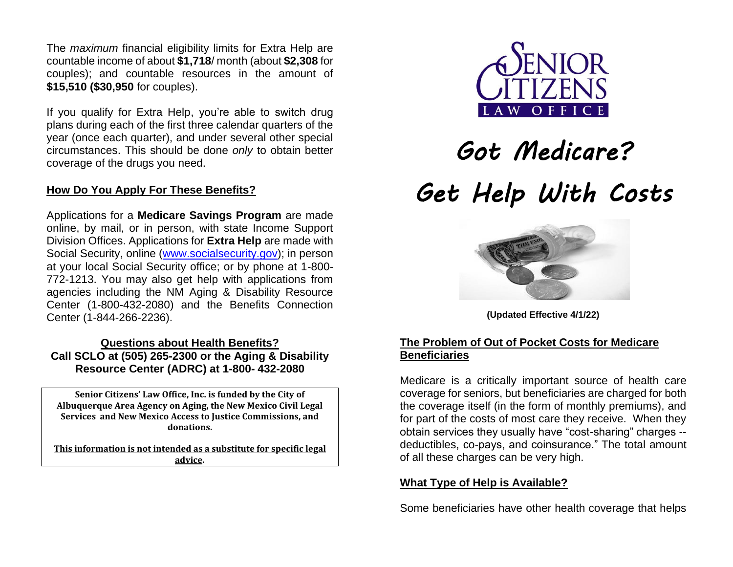The *maximum* financial eligibility limits for Extra Help are countable income of about **\$1,718**/ month (about **\$2,308** for couples); and countable resources in the amount of **\$15,510 (\$30,950** for couples).

If you qualify for Extra Help, you're able to switch drug plans during each of the first three calendar quarters of the year (once each quarter), and under several other special circumstances. This should be done *only* to obtain better coverage of the drugs you need.

# **How Do You Apply For These Benefits?**

Applications for a **Medicare Savings Program** are made online, by mail, or in person, with state Income Support Division Offices. Applications for **Extra Help** are made with Social Security, online [\(www.socialsecurity.gov\)](http://www.socialsecurity.gov/); in person at your local Social Security office; or by phone at 1-800- 772-1213. You may also get help with applications from agencies including the NM Aging & Disability Resource Center (1-800-432-2080) and the Benefits Connection Center (1-844-266-2236).

# **Questions about Health Benefits? Call SCLO at (505) 265-2300 or the Aging & Disability Resource Center (ADRC) at 1-800- 432-2080**

**Senior Citizens' Law Office, Inc. is funded by the City of Albuquerque Area Agency on Aging, the New Mexico Civil Legal Services and New Mexico Access to Justice Commissions, and donations.**

**This information is not intended as a substitute for specific legal advice.**



# *Got Medicare? Get Help With Costs*



**(Updated Effective 4/1/22)**

# **The Problem of Out of Pocket Costs for Medicare Beneficiaries**

Medicare is a critically important source of health care coverage for seniors, but beneficiaries are charged for both the coverage itself (in the form of monthly premiums), and for part of the costs of most care they receive. When they obtain services they usually have "cost-sharing" charges - deductibles, co-pays, and coinsurance." The total amount of all these charges can be very high.

#### **What Type of Help is Available?**

Some beneficiaries have other health coverage that helps